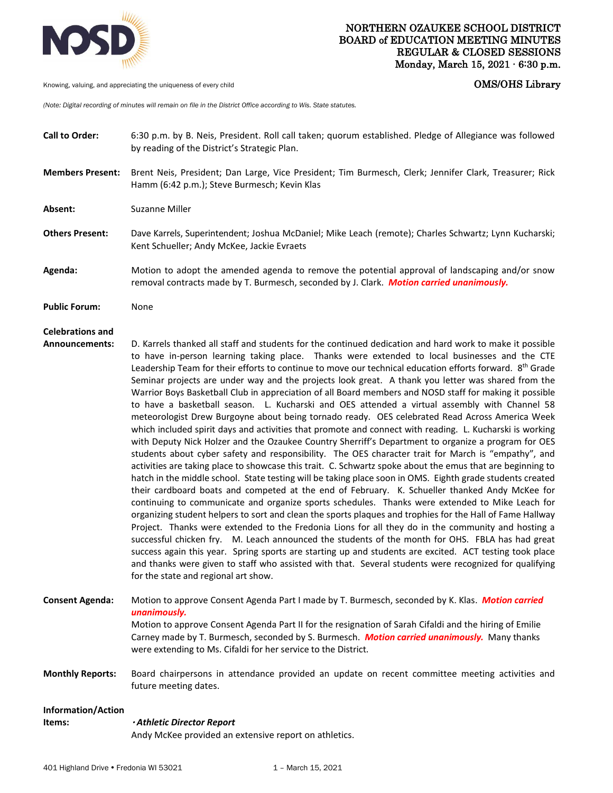

Knowing, valuing, and appreciating the uniqueness of every child **COMS COMS COMS COMS COMS COMS** 

*(Note: Digital recording of minutes will remain on file in the District Office according to Wis. State statutes.*

**Call to Order:** 6:30 p.m. by B. Neis, President. Roll call taken; quorum established. Pledge of Allegiance was followed by reading of the District's Strategic Plan.

**Members Present:** Brent Neis, President; Dan Large, Vice President; Tim Burmesch, Clerk; Jennifer Clark, Treasurer; Rick Hamm (6:42 p.m.); Steve Burmesch; Kevin Klas

Absent: Suzanne Miller

- **Others Present:** Dave Karrels, Superintendent; Joshua McDaniel; Mike Leach (remote); Charles Schwartz; Lynn Kucharski; Kent Schueller; Andy McKee, Jackie Evraets
- **Agenda:** Motion to adopt the amended agenda to remove the potential approval of landscaping and/or snow removal contracts made by T. Burmesch, seconded by J. Clark. *Motion carried unanimously.*

**Public Forum:** None

## **Celebrations and**

- **Announcements:** D. Karrels thanked all staff and students for the continued dedication and hard work to make it possible to have in-person learning taking place. Thanks were extended to local businesses and the CTE Leadership Team for their efforts to continue to move our technical education efforts forward. 8<sup>th</sup> Grade Seminar projects are under way and the projects look great. A thank you letter was shared from the Warrior Boys Basketball Club in appreciation of all Board members and NOSD staff for making it possible to have a basketball season. L. Kucharski and OES attended a virtual assembly with Channel 58 meteorologist Drew Burgoyne about being tornado ready. OES celebrated Read Across America Week which included spirit days and activities that promote and connect with reading. L. Kucharski is working with Deputy Nick Holzer and the Ozaukee Country Sherriff's Department to organize a program for OES students about cyber safety and responsibility. The OES character trait for March is "empathy", and activities are taking place to showcase this trait. C. Schwartz spoke about the emus that are beginning to hatch in the middle school. State testing will be taking place soon in OMS. Eighth grade students created their cardboard boats and competed at the end of February. K. Schueller thanked Andy McKee for continuing to communicate and organize sports schedules. Thanks were extended to Mike Leach for organizing student helpers to sort and clean the sports plaques and trophies for the Hall of Fame Hallway Project. Thanks were extended to the Fredonia Lions for all they do in the community and hosting a successful chicken fry. M. Leach announced the students of the month for OHS. FBLA has had great success again this year. Spring sports are starting up and students are excited. ACT testing took place and thanks were given to staff who assisted with that. Several students were recognized for qualifying for the state and regional art show.
- **Consent Agenda:** Motion to approve Consent Agenda Part I made by T. Burmesch, seconded by K. Klas. *Motion carried unanimously.* Motion to approve Consent Agenda Part II for the resignation of Sarah Cifaldi and the hiring of Emilie Carney made by T. Burmesch, seconded by S. Burmesch. *Motion carried unanimously.* Many thanks were extending to Ms. Cifaldi for her service to the District.
- **Monthly Reports:** Board chairpersons in attendance provided an update on recent committee meeting activities and future meeting dates.

# **Information/Action**

#### **Items:** *Athletic Director Report*

Andy McKee provided an extensive report on athletics.